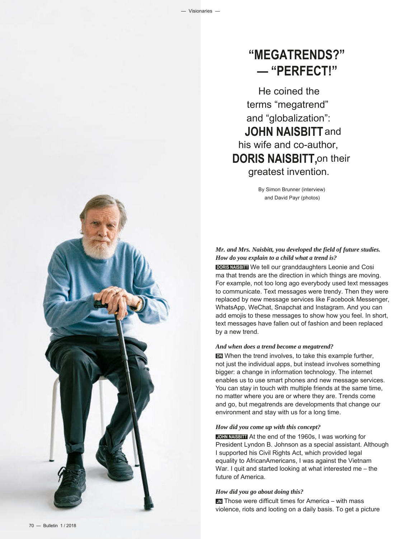# **"MEGATRENDS?" — "PERFECT!"**

He coined the terms "megatrend" and "globalization": **JOHN NAISBITT** and his wife and co-author, **DORIS NAISBITT,**on their greatest invention.

> By Simon Brunner (interview) and David Payr (photos)

*Mr. and Mrs. Naisbitt, you developed the field of future studies. How do you explain to a child what a trend is?* 

**DORIS NAISBITT** We tell our granddaughters Leonie and Cosi ma that trends are the direction in which things are moving. For example, not too long ago everybody used text messages to communicate. Text messages were trendy. Then they were replaced by new message services like Facebook Messenger, WhatsApp, WeChat, Snapchat and Instagram. And you can add emojis to these messages to show how you feel. In short, text messages have fallen out of fashion and been replaced by a new trend.

### *And when does a trend become a megatrend?*

**DN** When the trend involves, to take this example further, not just the individual apps, but instead involves something bigger: a change in information technology. The internet enables us to use smart phones and new message services. You can stay in touch with multiple friends at the same time, no matter where you are or where they are. Trends come and go, but megatrends are developments that change our environment and stay with us for a long time.

#### *How did you come up with this concept?*

**JOHN NAISBITT** At the end of the 1960s, I was working for President Lyndon B. Johnson as a special assistant. Although I supported his Civil Rights Act, which provided legal equality to African Americans, I was against the Vietnam War. I quit and started looking at what interested me – the future of America.

#### *How did you go about doing this?*

**JN** Those were difficult times for America – with mass violence, riots and looting on a daily basis. To get a picture